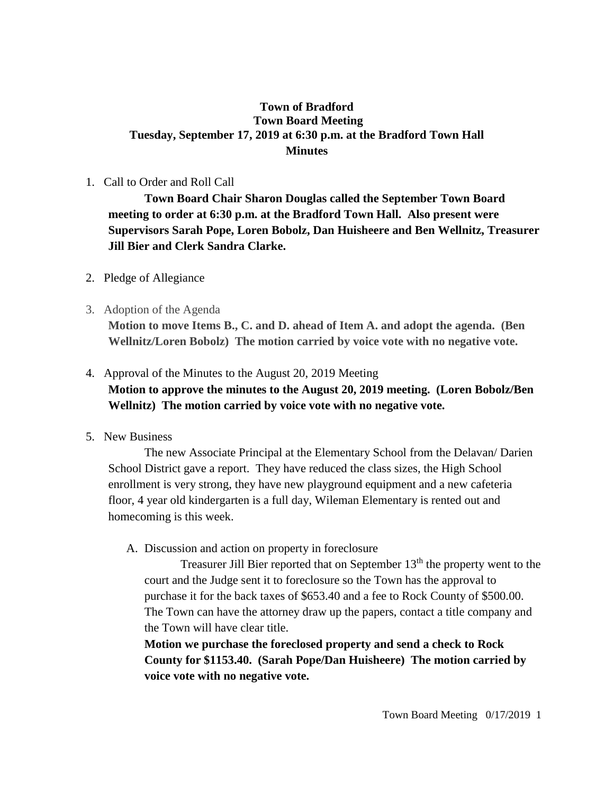# **Town of Bradford Town Board Meeting Tuesday, September 17, 2019 at 6:30 p.m. at the Bradford Town Hall Minutes**

### 1. Call to Order and Roll Call

**Town Board Chair Sharon Douglas called the September Town Board meeting to order at 6:30 p.m. at the Bradford Town Hall. Also present were Supervisors Sarah Pope, Loren Bobolz, Dan Huisheere and Ben Wellnitz, Treasurer Jill Bier and Clerk Sandra Clarke.**

- 2. Pledge of Allegiance
- 3. Adoption of the Agenda

**Motion to move Items B., C. and D. ahead of Item A. and adopt the agenda. (Ben Wellnitz/Loren Bobolz) The motion carried by voice vote with no negative vote.**

## 4. Approval of the Minutes to the August 20, 2019 Meeting

**Motion to approve the minutes to the August 20, 2019 meeting. (Loren Bobolz/Ben Wellnitz) The motion carried by voice vote with no negative vote.**

5. New Business

The new Associate Principal at the Elementary School from the Delavan/ Darien School District gave a report. They have reduced the class sizes, the High School enrollment is very strong, they have new playground equipment and a new cafeteria floor, 4 year old kindergarten is a full day, Wileman Elementary is rented out and homecoming is this week.

## A. Discussion and action on property in foreclosure

Treasurer Jill Bier reported that on September 13<sup>th</sup> the property went to the court and the Judge sent it to foreclosure so the Town has the approval to purchase it for the back taxes of \$653.40 and a fee to Rock County of \$500.00. The Town can have the attorney draw up the papers, contact a title company and the Town will have clear title.

**Motion we purchase the foreclosed property and send a check to Rock County for \$1153.40. (Sarah Pope/Dan Huisheere) The motion carried by voice vote with no negative vote.**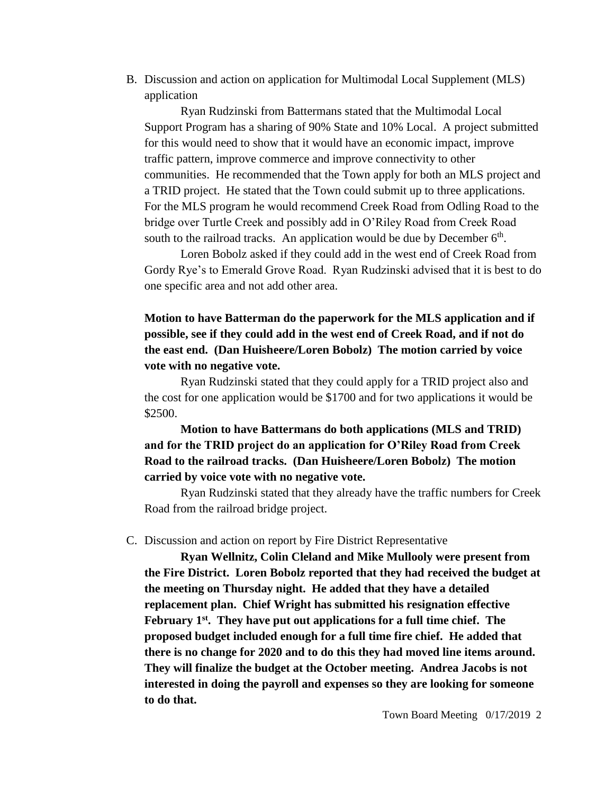B. Discussion and action on application for Multimodal Local Supplement (MLS) application

Ryan Rudzinski from Battermans stated that the Multimodal Local Support Program has a sharing of 90% State and 10% Local. A project submitted for this would need to show that it would have an economic impact, improve traffic pattern, improve commerce and improve connectivity to other communities. He recommended that the Town apply for both an MLS project and a TRID project. He stated that the Town could submit up to three applications. For the MLS program he would recommend Creek Road from Odling Road to the bridge over Turtle Creek and possibly add in O'Riley Road from Creek Road south to the railroad tracks. An application would be due by December  $6<sup>th</sup>$ .

Loren Bobolz asked if they could add in the west end of Creek Road from Gordy Rye's to Emerald Grove Road. Ryan Rudzinski advised that it is best to do one specific area and not add other area.

**Motion to have Batterman do the paperwork for the MLS application and if possible, see if they could add in the west end of Creek Road, and if not do the east end. (Dan Huisheere/Loren Bobolz) The motion carried by voice vote with no negative vote.**

Ryan Rudzinski stated that they could apply for a TRID project also and the cost for one application would be \$1700 and for two applications it would be \$2500.

**Motion to have Battermans do both applications (MLS and TRID) and for the TRID project do an application for O'Riley Road from Creek Road to the railroad tracks. (Dan Huisheere/Loren Bobolz) The motion carried by voice vote with no negative vote.**

Ryan Rudzinski stated that they already have the traffic numbers for Creek Road from the railroad bridge project.

#### C. Discussion and action on report by Fire District Representative

**Ryan Wellnitz, Colin Cleland and Mike Mullooly were present from the Fire District. Loren Bobolz reported that they had received the budget at the meeting on Thursday night. He added that they have a detailed replacement plan. Chief Wright has submitted his resignation effective February 1st . They have put out applications for a full time chief. The proposed budget included enough for a full time fire chief. He added that there is no change for 2020 and to do this they had moved line items around. They will finalize the budget at the October meeting. Andrea Jacobs is not interested in doing the payroll and expenses so they are looking for someone to do that.**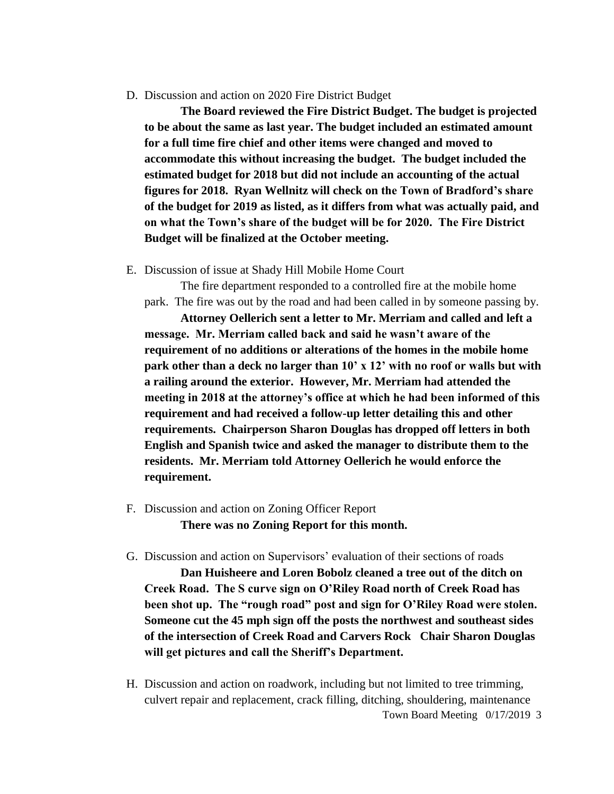D. Discussion and action on 2020 Fire District Budget

 **The Board reviewed the Fire District Budget. The budget is projected to be about the same as last year. The budget included an estimated amount for a full time fire chief and other items were changed and moved to accommodate this without increasing the budget. The budget included the estimated budget for 2018 but did not include an accounting of the actual figures for 2018. Ryan Wellnitz will check on the Town of Bradford's share of the budget for 2019 as listed, as it differs from what was actually paid, and on what the Town's share of the budget will be for 2020. The Fire District Budget will be finalized at the October meeting.**

E. Discussion of issue at Shady Hill Mobile Home Court

The fire department responded to a controlled fire at the mobile home park. The fire was out by the road and had been called in by someone passing by.

**Attorney Oellerich sent a letter to Mr. Merriam and called and left a message. Mr. Merriam called back and said he wasn't aware of the requirement of no additions or alterations of the homes in the mobile home park other than a deck no larger than 10' x 12' with no roof or walls but with a railing around the exterior. However, Mr. Merriam had attended the meeting in 2018 at the attorney's office at which he had been informed of this requirement and had received a follow-up letter detailing this and other requirements. Chairperson Sharon Douglas has dropped off letters in both English and Spanish twice and asked the manager to distribute them to the residents. Mr. Merriam told Attorney Oellerich he would enforce the requirement.** 

- F. Discussion and action on Zoning Officer Report **There was no Zoning Report for this month.**
- G. Discussion and action on Supervisors' evaluation of their sections of roads

**Dan Huisheere and Loren Bobolz cleaned a tree out of the ditch on Creek Road. The S curve sign on O'Riley Road north of Creek Road has been shot up. The "rough road" post and sign for O'Riley Road were stolen. Someone cut the 45 mph sign off the posts the northwest and southeast sides of the intersection of Creek Road and Carvers Rock Chair Sharon Douglas will get pictures and call the Sheriff's Department.** 

Town Board Meeting 0/17/2019 3 H. Discussion and action on roadwork, including but not limited to tree trimming, culvert repair and replacement, crack filling, ditching, shouldering, maintenance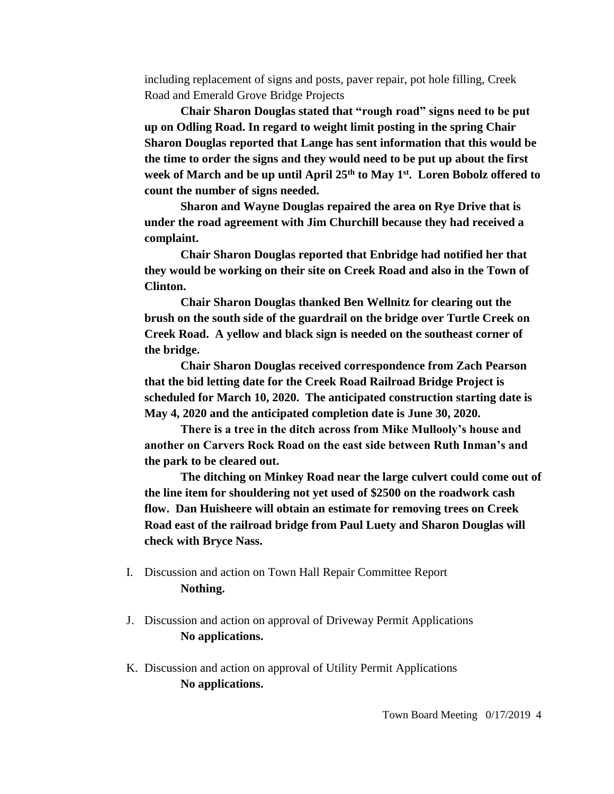including replacement of signs and posts, paver repair, pot hole filling, Creek Road and Emerald Grove Bridge Projects

**Chair Sharon Douglas stated that "rough road" signs need to be put up on Odling Road. In regard to weight limit posting in the spring Chair Sharon Douglas reported that Lange has sent information that this would be the time to order the signs and they would need to be put up about the first week of March and be up until April 25th to May 1st . Loren Bobolz offered to count the number of signs needed.** 

**Sharon and Wayne Douglas repaired the area on Rye Drive that is under the road agreement with Jim Churchill because they had received a complaint.**

**Chair Sharon Douglas reported that Enbridge had notified her that they would be working on their site on Creek Road and also in the Town of Clinton.**

**Chair Sharon Douglas thanked Ben Wellnitz for clearing out the brush on the south side of the guardrail on the bridge over Turtle Creek on Creek Road. A yellow and black sign is needed on the southeast corner of the bridge.** 

**Chair Sharon Douglas received correspondence from Zach Pearson that the bid letting date for the Creek Road Railroad Bridge Project is scheduled for March 10, 2020. The anticipated construction starting date is May 4, 2020 and the anticipated completion date is June 30, 2020.** 

**There is a tree in the ditch across from Mike Mullooly's house and another on Carvers Rock Road on the east side between Ruth Inman's and the park to be cleared out.**

**The ditching on Minkey Road near the large culvert could come out of the line item for shouldering not yet used of \$2500 on the roadwork cash flow. Dan Huisheere will obtain an estimate for removing trees on Creek Road east of the railroad bridge from Paul Luety and Sharon Douglas will check with Bryce Nass.** 

- I. Discussion and action on Town Hall Repair Committee Report **Nothing.**
- J. Discussion and action on approval of Driveway Permit Applications **No applications.**
- K. Discussion and action on approval of Utility Permit Applications **No applications.**